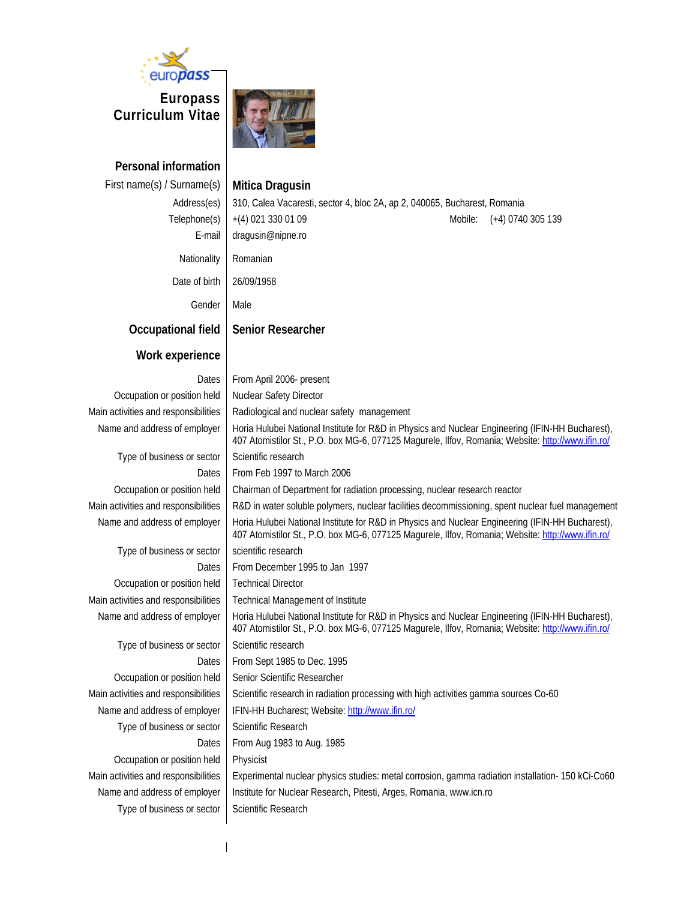

**Europass Curriculum Vitae** 



**Personal information** 

#### First name(s) / Surname(s) **Mitica Dragusin**

Address(es) 310, Calea Vacaresti, sector 4, bloc 2A, ap 2, 040065, Bucharest, Romania Telephone(s) | +(4) 021 330 01 09 Mobile: (+4) 0740 305 139 E-mail dragusin@nipne.ro Nationality Romanian Date of birth | 26/09/1958 Gender | Male **Occupational field | Senior Researcher Work experience**  Dates | From April 2006- present Occupation or position held | Nuclear Safety Director Main activities and responsibilities  $\parallel$  Radiological and nuclear safety management Name and address of employer | Horia Hulubei National Institute for R&D in Physics and Nuclear Engineering (IFIN-HH Bucharest), 407 Atomistilor St., P.O. box MG-6, 077125 Magurele, Ilfov, Romania; Website: http://www.ifin.ro/ Type of business or sector Scientific research Dates | From Feb 1997 to March 2006 Occupation or position held | Chairman of Department for radiation processing, nuclear research reactor Main activities and responsibilities | R&D in water soluble polymers, nuclear facilities decommissioning, spent nuclear fuel management Name and address of employer | Horia Hulubei National Institute for R&D in Physics and Nuclear Engineering (IFIN-HH Bucharest), 407 Atomistilor St., P.O. box MG-6, 077125 Magurele, Ilfov, Romania; Website: http://www.ifin.ro/ Type of business or sector  $\vert$  scientific research Dates From December 1995 to Jan 1997 Occupation or position held | Technical Director Main activities and responsibilities Technical Management of Institute Name and address of employer | Horia Hulubei National Institute for R&D in Physics and Nuclear Engineering (IFIN-HH Bucharest), 407 Atomistilor St., P.O. box MG-6, 077125 Magurele, Ilfov, Romania; Website: http://www.ifin.ro/ Type of business or sector | Scientific research Dates | From Sept 1985 to Dec. 1995 Occupation or position held | Senior Scientific Researcher Main activities and responsibilities | Scientific research in radiation processing with high activities gamma sources Co-60 Name and address of employer | IFIN-HH Bucharest; Website: http://www.ifin.ro/ Type of business or sector Scientific Research Dates | From Aug 1983 to Aug. 1985 Occupation or position held | Physicist Main activities and responsibilities | Experimental nuclear physics studies: metal corrosion, gamma radiation installation- 150 kCi-Co60 Name and address of employer | Institute for Nuclear Research, Pitesti, Arges, Romania, www.icn.ro Type of business or sector Scientific Research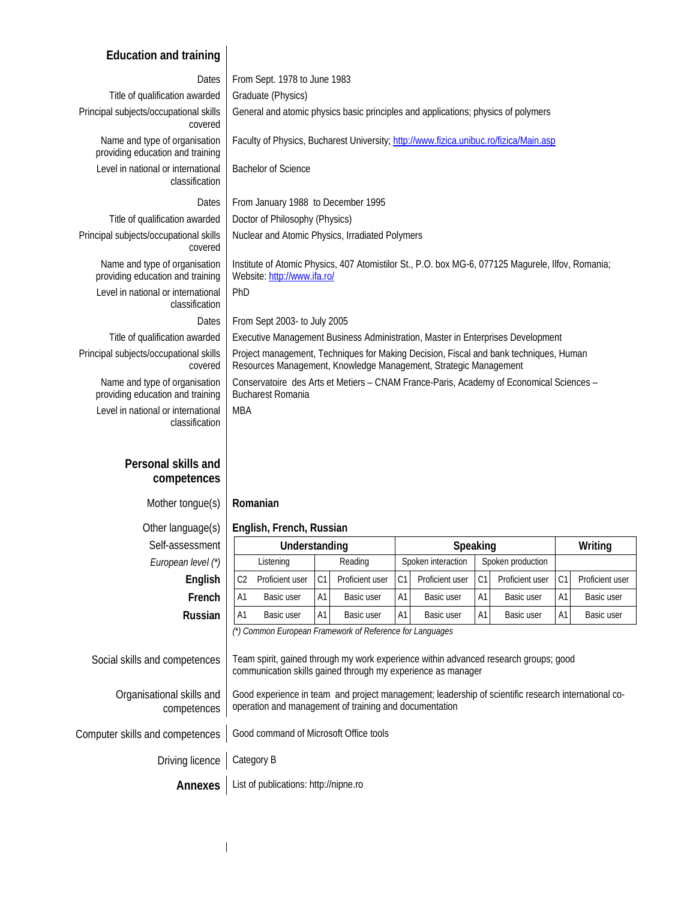#### **Education and training**

| Dates<br>Title of qualification awarded<br>Principal subjects/occupational skills<br>covered<br>Name and type of organisation<br>providing education and training<br>Level in national or international<br>classification<br>Dates<br>Title of qualification awarded | From Sept. 1978 to June 1983<br>Graduate (Physics)<br>General and atomic physics basic principles and applications; physics of polymers<br>Faculty of Physics, Bucharest University; http://www.fizica.unibuc.ro/fizica/Main.asp<br><b>Bachelor of Science</b><br>From January 1988 to December 1995<br>Doctor of Philosophy (Physics) |    |                    |                |                   |                |                 |
|----------------------------------------------------------------------------------------------------------------------------------------------------------------------------------------------------------------------------------------------------------------------|----------------------------------------------------------------------------------------------------------------------------------------------------------------------------------------------------------------------------------------------------------------------------------------------------------------------------------------|----|--------------------|----------------|-------------------|----------------|-----------------|
| Principal subjects/occupational skills                                                                                                                                                                                                                               | Nuclear and Atomic Physics, Irradiated Polymers                                                                                                                                                                                                                                                                                        |    |                    |                |                   |                |                 |
| covered                                                                                                                                                                                                                                                              |                                                                                                                                                                                                                                                                                                                                        |    |                    |                |                   |                |                 |
| Name and type of organisation<br>providing education and training                                                                                                                                                                                                    | Institute of Atomic Physics, 407 Atomistilor St., P.O. box MG-6, 077125 Magurele, Ilfov, Romania;<br>Website: http://www.ifa.ro/                                                                                                                                                                                                       |    |                    |                |                   |                |                 |
| Level in national or international<br>classification                                                                                                                                                                                                                 | PhD                                                                                                                                                                                                                                                                                                                                    |    |                    |                |                   |                |                 |
| Dates                                                                                                                                                                                                                                                                | From Sept 2003- to July 2005                                                                                                                                                                                                                                                                                                           |    |                    |                |                   |                |                 |
| Title of qualification awarded                                                                                                                                                                                                                                       | Executive Management Business Administration, Master in Enterprises Development                                                                                                                                                                                                                                                        |    |                    |                |                   |                |                 |
| Principal subjects/occupational skills<br>covered                                                                                                                                                                                                                    | Project management, Techniques for Making Decision, Fiscal and bank techniques, Human<br>Resources Management, Knowledge Management, Strategic Management                                                                                                                                                                              |    |                    |                |                   |                |                 |
| Name and type of organisation<br>providing education and training                                                                                                                                                                                                    | Conservatoire des Arts et Metiers - CNAM France-Paris, Academy of Economical Sciences -<br><b>Bucharest Romania</b>                                                                                                                                                                                                                    |    |                    |                |                   |                |                 |
| Level in national or international<br>classification                                                                                                                                                                                                                 | <b>MBA</b>                                                                                                                                                                                                                                                                                                                             |    |                    |                |                   |                |                 |
| Personal skills and<br>competences                                                                                                                                                                                                                                   |                                                                                                                                                                                                                                                                                                                                        |    |                    |                |                   |                |                 |
| Mother tongue(s)                                                                                                                                                                                                                                                     | Romanian                                                                                                                                                                                                                                                                                                                               |    |                    |                |                   |                |                 |
| Other language(s)                                                                                                                                                                                                                                                    | English, French, Russian                                                                                                                                                                                                                                                                                                               |    |                    |                |                   |                |                 |
| Self-assessment                                                                                                                                                                                                                                                      | Understanding                                                                                                                                                                                                                                                                                                                          |    | Speaking           |                |                   |                | Writing         |
| European level (*)                                                                                                                                                                                                                                                   | Listening<br>Reading                                                                                                                                                                                                                                                                                                                   |    | Spoken interaction |                | Spoken production |                |                 |
| English                                                                                                                                                                                                                                                              | Proficient user<br>C1<br>Proficient user<br>C <sub>2</sub>                                                                                                                                                                                                                                                                             | C1 | Proficient user    | C <sub>1</sub> | Proficient user   | C <sub>1</sub> | Proficient user |
| French                                                                                                                                                                                                                                                               | A1<br>Basic user<br>Basic user<br>Α1                                                                                                                                                                                                                                                                                                   | Α1 | Basic user         | A1             | Basic user        | Α1             | Basic user      |
| Russian                                                                                                                                                                                                                                                              | A1<br>Α1<br>Basic user<br>Basic user                                                                                                                                                                                                                                                                                                   | Α1 | Basic user         | A1             | Basic user        | A1             | Basic user      |
|                                                                                                                                                                                                                                                                      | (*) Common European Framework of Reference for Languages                                                                                                                                                                                                                                                                               |    |                    |                |                   |                |                 |
| Social skills and competences                                                                                                                                                                                                                                        | Team spirit, gained through my work experience within advanced research groups; good<br>communication skills gained through my experience as manager                                                                                                                                                                                   |    |                    |                |                   |                |                 |
| Organisational skills and<br>competences                                                                                                                                                                                                                             | Good experience in team and project management; leadership of scientific research international co-<br>operation and management of training and documentation                                                                                                                                                                          |    |                    |                |                   |                |                 |
| Computer skills and competences                                                                                                                                                                                                                                      | Good command of Microsoft Office tools                                                                                                                                                                                                                                                                                                 |    |                    |                |                   |                |                 |
| Driving licence                                                                                                                                                                                                                                                      | Category B                                                                                                                                                                                                                                                                                                                             |    |                    |                |                   |                |                 |
| <b>Annexes</b>                                                                                                                                                                                                                                                       | List of publications: http://nipne.ro                                                                                                                                                                                                                                                                                                  |    |                    |                |                   |                |                 |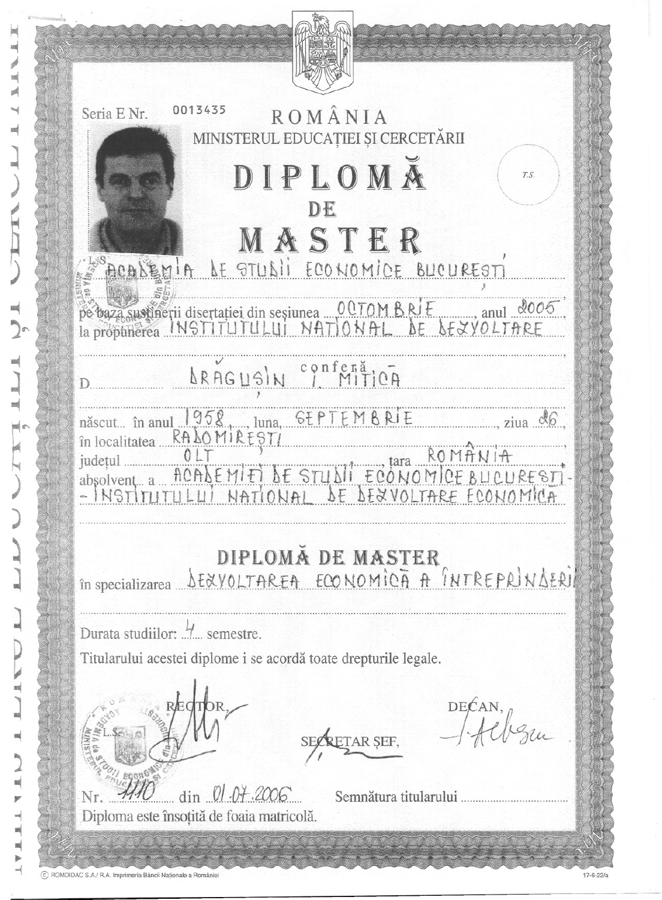| 0013435<br>ROMÂNIA<br>Seria E Nr.                                                                                            |
|------------------------------------------------------------------------------------------------------------------------------|
| MINISTERUL EDUCAȚIEI ȘI CERCETĂRII                                                                                           |
| DIPLOMA<br>T.S.<br>DE                                                                                                        |
| MASTER                                                                                                                       |
| ACALEMIA LE STULII ECONOMICE BUCURESTI                                                                                       |
| pe baza sustinerii disertației din seșiunea 00TOM BRIF anul 2005                                                             |
| BRAGUSIN Conferătica                                                                                                         |
| născut în anul 1958 luna, GEPTEMBRIE<br>în localitatea RALOMIREȘTI                                                           |
| ROMANIA<br>județul<br><u>ACALEMITI DE STUDII ECONOMICE BUCURESTI</u><br>ULUI NATIONAL DE DEXVOLTARE ECONOMICA<br>absolvent a |
| DIPLOMA DE MASTER<br><u>SEXVOLTAREA ECONOMICA A INTREPRINGERI</u><br>în specializarea                                        |
| Durata studiilor:  semestre.                                                                                                 |
| Titularului acestei diplome i se acordă toate drepturile legale.                                                             |
| DECAN<br>ETAR ŞEF,                                                                                                           |
|                                                                                                                              |
| $\dim$ 01.04.2006<br>Semnătura titularului<br>Diploma este însoțită de foaia matricolă.                                      |
|                                                                                                                              |

 $\equiv$ Á i. m

ø

Ħ

**BBS** 

**ms** 

瞬

 $\blacksquare$ ¥  $\Rightarrow$  $\equiv$  $\mathbb{R}$  $\blacktriangleright$  $\rightarrow$